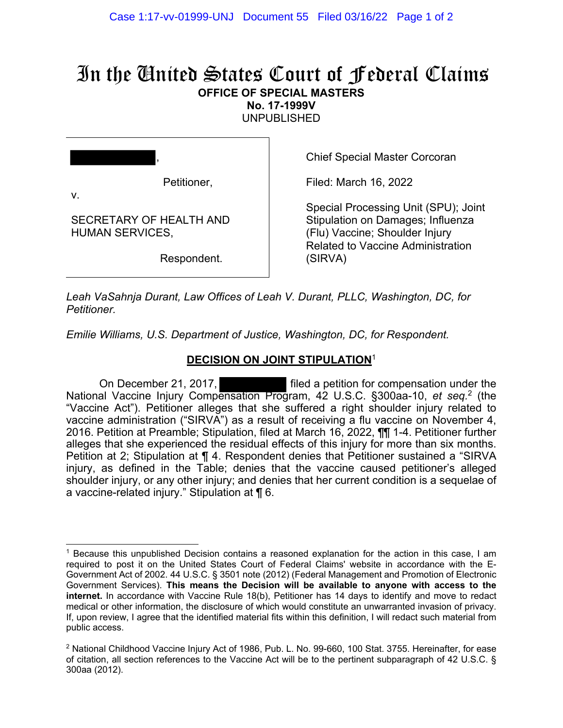## In the United States Court of Federal Claims **OFFICE OF SPECIAL MASTERS**

**No. 17-1999V** 

UNPUBLISHED

| Petitioner,<br>V.                                 |  |
|---------------------------------------------------|--|
| SECRETARY OF HEALTH AND<br><b>HUMAN SERVICES,</b> |  |

Respondent.

Chief Special Master Corcoran

Filed: March 16, 2022

Special Processing Unit (SPU); Joint Stipulation on Damages; Influenza (Flu) Vaccine; Shoulder Injury Related to Vaccine Administration (SIRVA)

*Leah VaSahnja Durant, Law Offices of Leah V. Durant, PLLC, Washington, DC, for Petitioner.* 

*Emilie Williams, U.S. Department of Justice, Washington, DC, for Respondent.* 

## **DECISION ON JOINT STIPULATION**<sup>1</sup>

On December 21, 2017, **Filed a petition for compensation under the** National Vaccine Injury Compensation Program, 42 U.S.C. §300aa-10, *et seq.*2 (the "Vaccine Act"). Petitioner alleges that she suffered a right shoulder injury related to vaccine administration ("SIRVA") as a result of receiving a flu vaccine on November 4, 2016. Petition at Preamble; Stipulation, filed at March 16, 2022, ¶¶ 1-4. Petitioner further alleges that she experienced the residual effects of this injury for more than six months. Petition at 2; Stipulation at ¶ 4. Respondent denies that Petitioner sustained a "SIRVA injury, as defined in the Table; denies that the vaccine caused petitioner's alleged shoulder injury, or any other injury; and denies that her current condition is a sequelae of a vaccine-related injury." Stipulation at ¶ 6.

<sup>1</sup> Because this unpublished Decision contains a reasoned explanation for the action in this case, I am required to post it on the United States Court of Federal Claims' website in accordance with the E-Government Act of 2002. 44 U.S.C. § 3501 note (2012) (Federal Management and Promotion of Electronic Government Services). **This means the Decision will be available to anyone with access to the internet.** In accordance with Vaccine Rule 18(b), Petitioner has 14 days to identify and move to redact medical or other information, the disclosure of which would constitute an unwarranted invasion of privacy. If, upon review, I agree that the identified material fits within this definition, I will redact such material from public access.

 $2$  National Childhood Vaccine Injury Act of 1986, Pub. L. No. 99-660, 100 Stat. 3755. Hereinafter, for ease of citation, all section references to the Vaccine Act will be to the pertinent subparagraph of 42 U.S.C. § 300aa (2012).